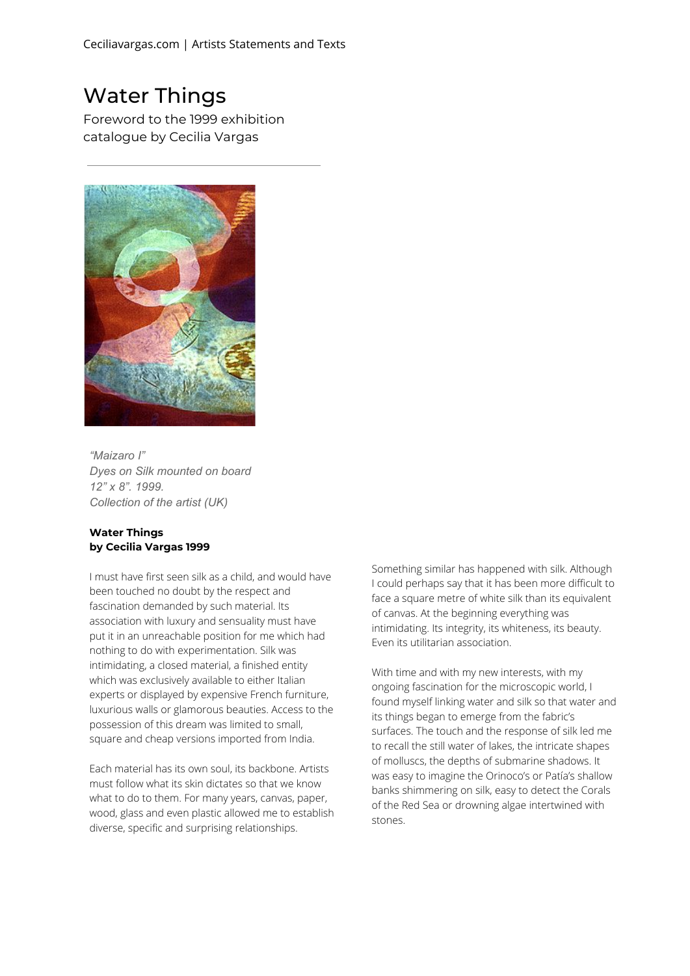## Water Things

Foreword to the 1999 exhibition catalogue by Cecilia Vargas



*"Maizaro I" Dyes on Silk mounted on board 12" x 8". 1999. Collection of the artist (UK)*

## **Water Things by Cecilia Vargas 1999**

I must have first seen silk as a child, and would have been touched no doubt by the respect and fascination demanded by such material. Its association with luxury and sensuality must have put it in an unreachable position for me which had nothing to do with experimentation. Silk was intimidating, a closed material, a finished entity which was exclusively available to either Italian experts or displayed by expensive French furniture, luxurious walls or glamorous beauties. Access to the possession of this dream was limited to small, square and cheap versions imported from India.

Each material has its own soul, its backbone. Artists must follow what its skin dictates so that we know what to do to them. For many years, canvas, paper, wood, glass and even plastic allowed me to establish diverse, specific and surprising relationships.

Something similar has happened with silk. Although I could perhaps say that it has been more difficult to face a square metre of white silk than its equivalent of canvas. At the beginning everything was intimidating. Its integrity, its whiteness, its beauty. Even its utilitarian association.

With time and with my new interests, with my ongoing fascination for the microscopic world, I found myself linking water and silk so that water and its things began to emerge from the fabric's surfaces. The touch and the response of silk led me to recall the still water of lakes, the intricate shapes of molluscs, the depths of submarine shadows. It was easy to imagine the Orinoco's or Patía's shallow banks shimmering on silk, easy to detect the Corals of the Red Sea or drowning algae intertwined with stones.